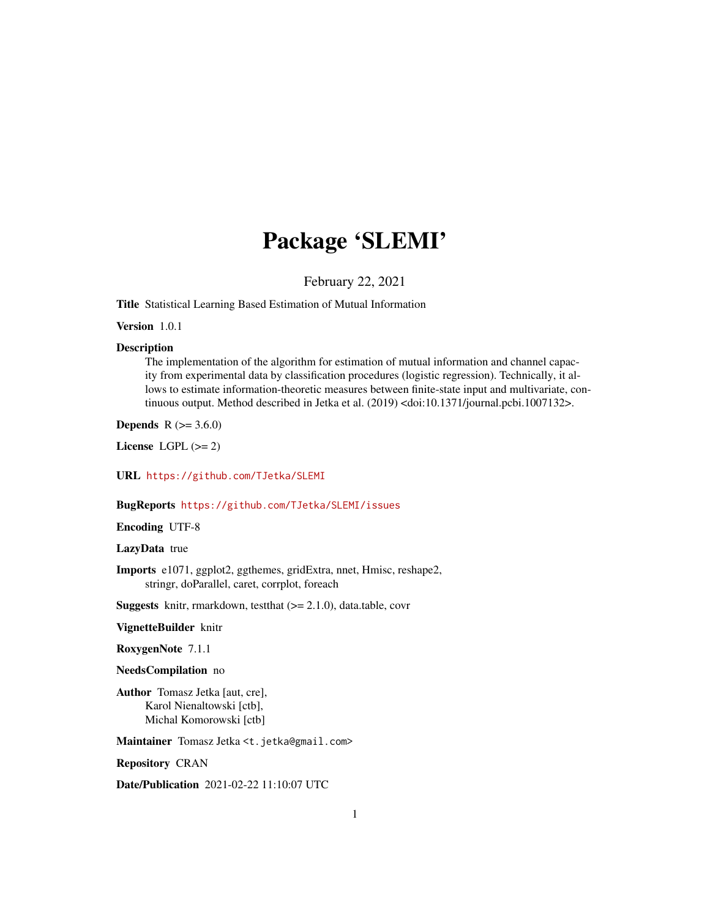## Package 'SLEMI'

February 22, 2021

Title Statistical Learning Based Estimation of Mutual Information

Version 1.0.1

#### Description

The implementation of the algorithm for estimation of mutual information and channel capacity from experimental data by classification procedures (logistic regression). Technically, it allows to estimate information-theoretic measures between finite-state input and multivariate, continuous output. Method described in Jetka et al. (2019) <doi:10.1371/journal.pcbi.1007132>.

**Depends** R  $(>= 3.6.0)$ 

License LGPL  $(>= 2)$ 

URL <https://github.com/TJetka/SLEMI>

#### BugReports <https://github.com/TJetka/SLEMI/issues>

Encoding UTF-8

LazyData true

Imports e1071, ggplot2, ggthemes, gridExtra, nnet, Hmisc, reshape2, stringr, doParallel, caret, corrplot, foreach

Suggests knitr, rmarkdown, testthat (>= 2.1.0), data.table, covr

VignetteBuilder knitr

RoxygenNote 7.1.1

#### NeedsCompilation no

Author Tomasz Jetka [aut, cre], Karol Nienaltowski [ctb], Michal Komorowski [ctb]

Maintainer Tomasz Jetka <t.jetka@gmail.com>

Repository CRAN

Date/Publication 2021-02-22 11:10:07 UTC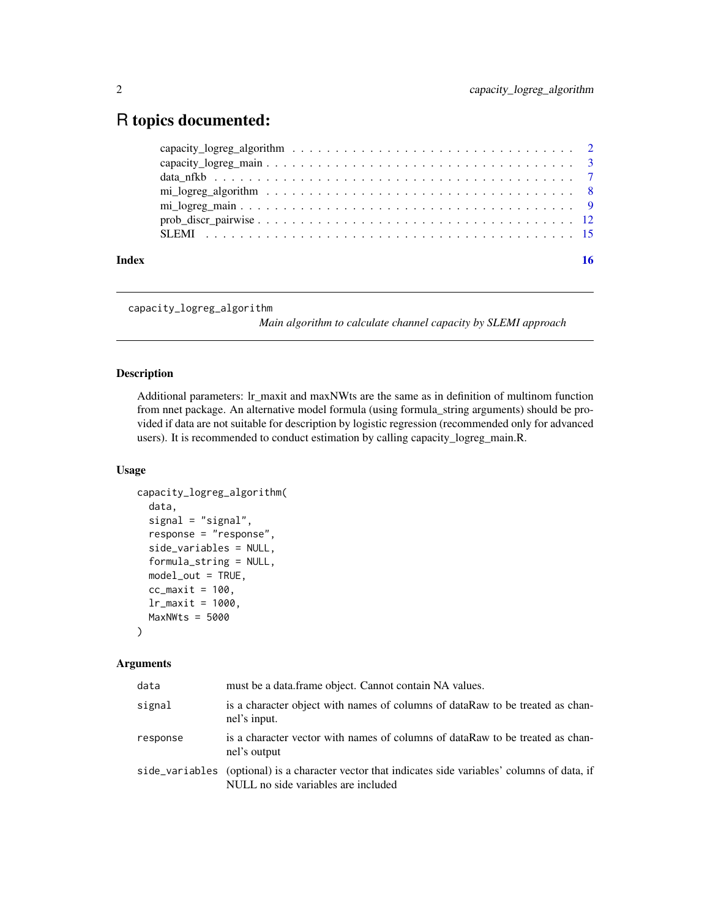### <span id="page-1-0"></span>R topics documented:

| Index |                                                                                                                                        |  |
|-------|----------------------------------------------------------------------------------------------------------------------------------------|--|
|       |                                                                                                                                        |  |
|       |                                                                                                                                        |  |
|       |                                                                                                                                        |  |
|       | $\text{mi}\_\text{logreg}\_\text{algorithm} \dots \dots \dots \dots \dots \dots \dots \dots \dots \dots \dots \dots \dots \dots \dots$ |  |
|       |                                                                                                                                        |  |
|       |                                                                                                                                        |  |
|       |                                                                                                                                        |  |

```
capacity_logreg_algorithm
```
*Main algorithm to calculate channel capacity by SLEMI approach*

#### Description

Additional parameters: lr\_maxit and maxNWts are the same as in definition of multinom function from nnet package. An alternative model formula (using formula\_string arguments) should be provided if data are not suitable for description by logistic regression (recommended only for advanced users). It is recommended to conduct estimation by calling capacity\_logreg\_main.R.

#### Usage

```
capacity_logreg_algorithm(
  data,
  signal = "signal",
  response = "response",
  side_variables = NULL,
  formula_string = NULL,
 model_out = TRUE,
  cc_maxit = 100,
  lr_{maxit} = 1000,MaxNWts = 5000)
```

| data     | must be a data.frame object. Cannot contain NA values.                                                                                    |
|----------|-------------------------------------------------------------------------------------------------------------------------------------------|
| signal   | is a character object with names of columns of dataRaw to be treated as chan-<br>nel's input.                                             |
| response | is a character vector with names of columns of dataRaw to be treated as chan-<br>nel's output                                             |
|          | side_variables (optional) is a character vector that indicates side variables' columns of data, if<br>NULL no side variables are included |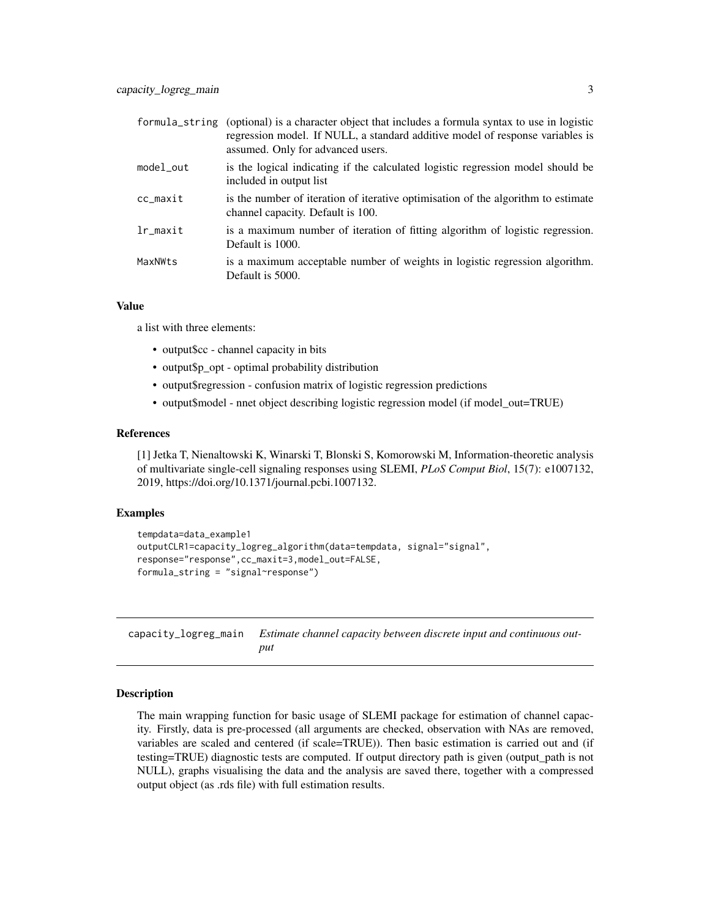<span id="page-2-0"></span>

|                       | formula_string (optional) is a character object that includes a formula syntax to use in logistic<br>regression model. If NULL, a standard additive model of response variables is<br>assumed. Only for advanced users. |
|-----------------------|-------------------------------------------------------------------------------------------------------------------------------------------------------------------------------------------------------------------------|
| model_out             | is the logical indicating if the calculated logistic regression model should be<br>included in output list                                                                                                              |
| cc maxit              | is the number of iteration of iterative optimisation of the algorithm to estimate<br>channel capacity. Default is 100.                                                                                                  |
| $lr$ <sub>maxit</sub> | is a maximum number of iteration of fitting algorithm of logistic regression.<br>Default is 1000.                                                                                                                       |
| MaxNWts               | is a maximum acceptable number of weights in logistic regression algorithm.<br>Default is 5000.                                                                                                                         |

#### Value

a list with three elements:

- output\$cc channel capacity in bits
- output\$p\_opt optimal probability distribution
- output\$regression confusion matrix of logistic regression predictions
- output\$model nnet object describing logistic regression model (if model out=TRUE)

#### References

[1] Jetka T, Nienaltowski K, Winarski T, Blonski S, Komorowski M, Information-theoretic analysis of multivariate single-cell signaling responses using SLEMI, *PLoS Comput Biol*, 15(7): e1007132, 2019, https://doi.org/10.1371/journal.pcbi.1007132.

#### Examples

```
tempdata=data_example1
outputCLR1=capacity_logreg_algorithm(data=tempdata, signal="signal",
response="response",cc_maxit=3,model_out=FALSE,
formula_string = "signal~response")
```
capacity\_logreg\_main *Estimate channel capacity between discrete input and continuous output*

#### Description

The main wrapping function for basic usage of SLEMI package for estimation of channel capacity. Firstly, data is pre-processed (all arguments are checked, observation with NAs are removed, variables are scaled and centered (if scale=TRUE)). Then basic estimation is carried out and (if testing=TRUE) diagnostic tests are computed. If output directory path is given (output\_path is not NULL), graphs visualising the data and the analysis are saved there, together with a compressed output object (as .rds file) with full estimation results.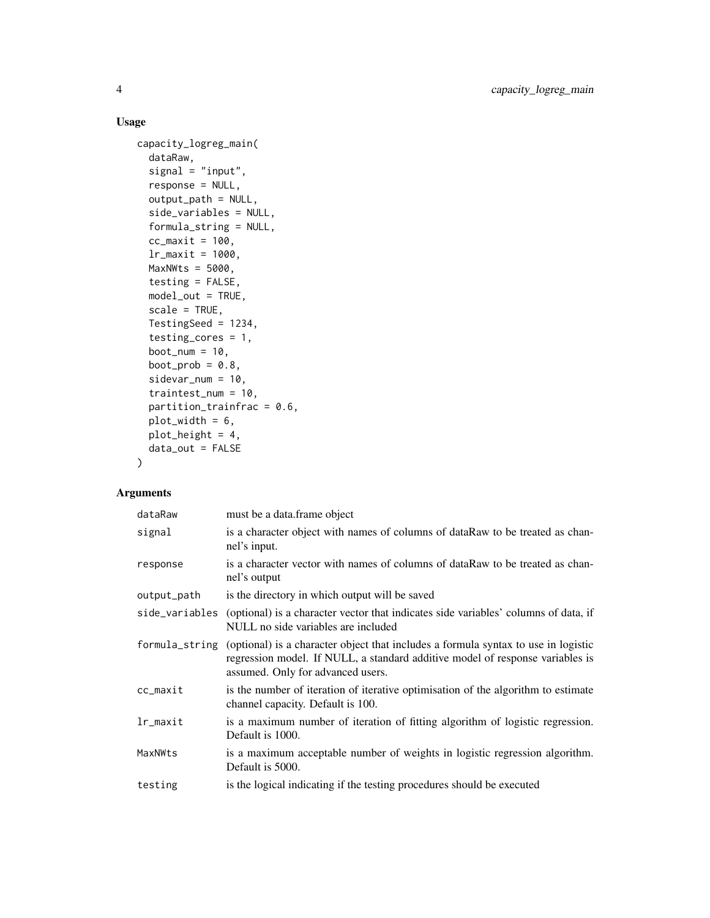#### Usage

```
capacity_logreg_main(
 dataRaw,
  signal = "input",
  response = NULL,
  output_path = NULL,
  side_variables = NULL,
  formula_string = NULL,
  cc_maxit = 100,
  lr_mmaxit = 1000,
 MaxNWts = 5000,
  testing = FALSE,
 model_out = TRUE,scale = TRUE,
 TestingSeed = 1234,
  testing_cores = 1,
 boot_num = 10,
 boot_prob = 0.8,
  sidevar_num = 10,
  traintest_num = 10,
 partition\_trainfrac = 0.6,
 plot_width = 6,
 plot_height = 4,
 data_out = FALSE
\lambda
```

| dataRaw        | must be a data.frame object                                                                                                                                                                              |
|----------------|----------------------------------------------------------------------------------------------------------------------------------------------------------------------------------------------------------|
| signal         | is a character object with names of columns of dataRaw to be treated as chan-<br>nel's input.                                                                                                            |
| response       | is a character vector with names of columns of dataRaw to be treated as chan-<br>nel's output                                                                                                            |
| output_path    | is the directory in which output will be saved                                                                                                                                                           |
| side_variables | (optional) is a character vector that indicates side variables' columns of data, if<br>NULL no side variables are included                                                                               |
| formula_string | (optional) is a character object that includes a formula syntax to use in logistic<br>regression model. If NULL, a standard additive model of response variables is<br>assumed. Only for advanced users. |
| cc_maxit       | is the number of iteration of iterative optimisation of the algorithm to estimate<br>channel capacity. Default is 100.                                                                                   |
| lr_maxit       | is a maximum number of iteration of fitting algorithm of logistic regression.<br>Default is 1000.                                                                                                        |
| MaxNWts        | is a maximum acceptable number of weights in logistic regression algorithm.<br>Default is 5000.                                                                                                          |
| testing        | is the logical indicating if the testing procedures should be executed                                                                                                                                   |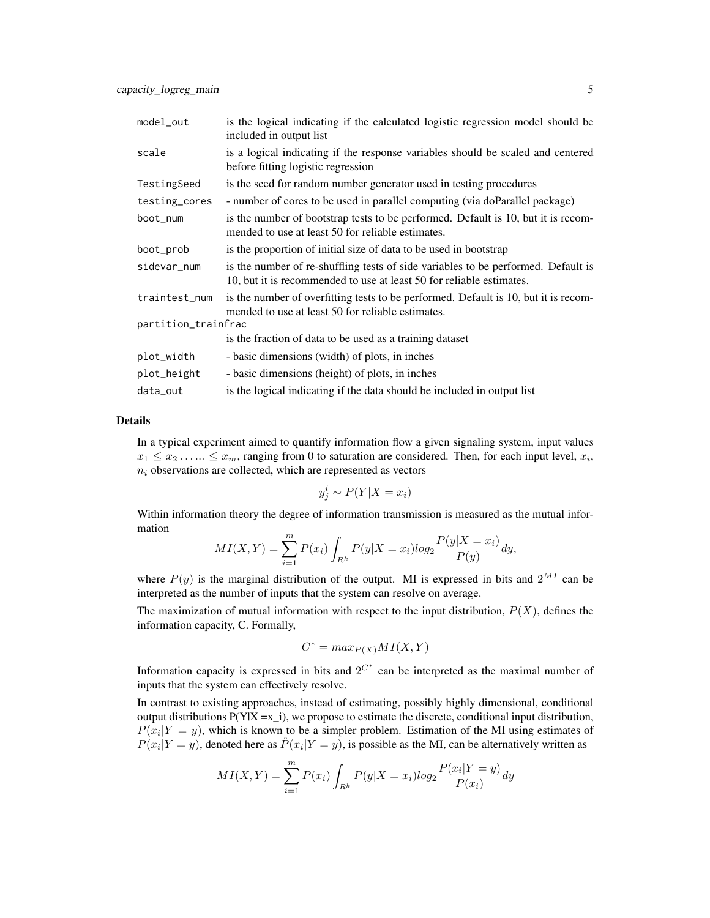| model_out           | is the logical indicating if the calculated logistic regression model should be<br>included in output list                                                |  |
|---------------------|-----------------------------------------------------------------------------------------------------------------------------------------------------------|--|
| scale               | is a logical indicating if the response variables should be scaled and centered<br>before fitting logistic regression                                     |  |
| TestingSeed         | is the seed for random number generator used in testing procedures                                                                                        |  |
| testing_cores       | - number of cores to be used in parallel computing (via doParallel package)                                                                               |  |
| boot_num            | is the number of bootstrap tests to be performed. Default is 10, but it is recom-<br>mended to use at least 50 for reliable estimates.                    |  |
| boot_prob           | is the proportion of initial size of data to be used in bootstrap                                                                                         |  |
| sidevar_num         | is the number of re-shuffling tests of side variables to be performed. Default is<br>10, but it is recommended to use at least 50 for reliable estimates. |  |
| traintest_num       | is the number of overfitting tests to be performed. Default is 10, but it is recom-<br>mended to use at least 50 for reliable estimates.                  |  |
| partition_trainfrac |                                                                                                                                                           |  |
|                     | is the fraction of data to be used as a training dataset                                                                                                  |  |
| plot_width          | - basic dimensions (width) of plots, in inches                                                                                                            |  |
| plot_height         | - basic dimensions (height) of plots, in inches                                                                                                           |  |
| data_out            | is the logical indicating if the data should be included in output list                                                                                   |  |

#### Details

In a typical experiment aimed to quantify information flow a given signaling system, input values  $x_1 \leq x_2 \dots \leq x_m$ , ranging from 0 to saturation are considered. Then, for each input level,  $x_i$ ,  $n_i$  observations are collected, which are represented as vectors

$$
y_j^i \sim P(Y|X = x_i)
$$

Within information theory the degree of information transmission is measured as the mutual information

$$
MI(X,Y) = \sum_{i=1}^{m} P(x_i) \int_{R^k} P(y|X=x_i) \log_2 \frac{P(y|X=x_i)}{P(y)} dy,
$$

where  $P(y)$  is the marginal distribution of the output. MI is expressed in bits and  $2^{MI}$  can be interpreted as the number of inputs that the system can resolve on average.

The maximization of mutual information with respect to the input distribution,  $P(X)$ , defines the information capacity, C. Formally,

$$
C^* = \max_{P(X)} MI(X, Y)
$$

Information capacity is expressed in bits and  $2^{C^*}$  can be interpreted as the maximal number of inputs that the system can effectively resolve.

In contrast to existing approaches, instead of estimating, possibly highly dimensional, conditional output distributions  $P(Y|X = x_i)$ , we propose to estimate the discrete, conditional input distribution,  $P(x_i|Y = y)$ , which is known to be a simpler problem. Estimation of the MI using estimates of  $P(x_i|Y=y)$ , denoted here as  $\hat{P}(x_i|Y=y)$ , is possible as the MI, can be alternatively written as

$$
MI(X,Y) = \sum_{i=1}^{m} P(x_i) \int_{R^k} P(y|X = x_i) \log_2 \frac{P(x_i|Y = y)}{P(x_i)} dy
$$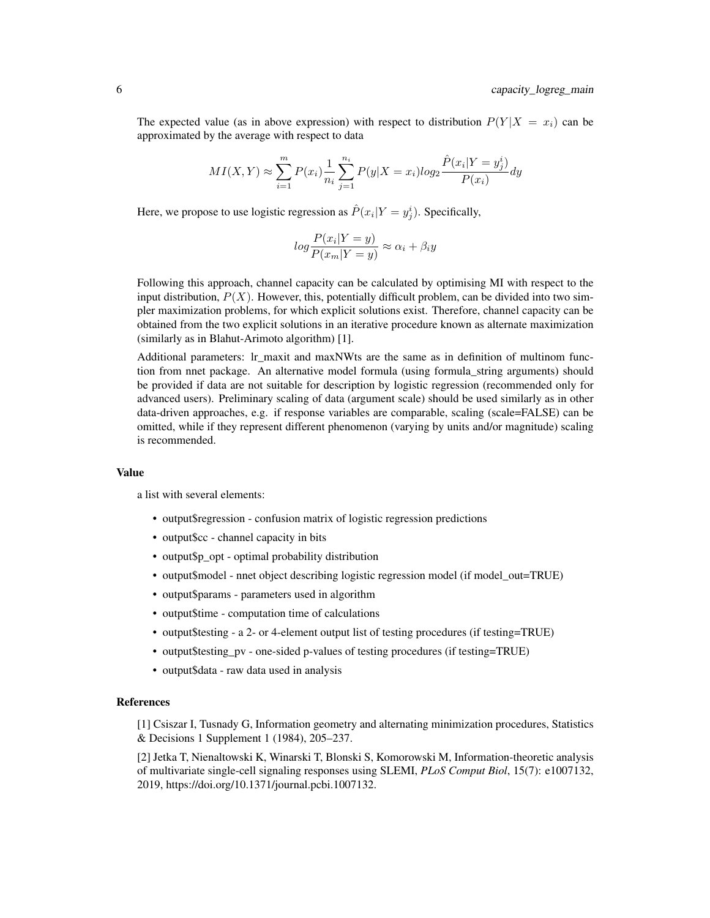The expected value (as in above expression) with respect to distribution  $P(Y|X = x_i)$  can be approximated by the average with respect to data

$$
MI(X, Y) \approx \sum_{i=1}^{m} P(x_i) \frac{1}{n_i} \sum_{j=1}^{n_i} P(y | X = x_i) log_2 \frac{\hat{P}(x_i | Y = y_j^i)}{P(x_i)} dy
$$

Here, we propose to use logistic regression as  $\hat{P}(x_i|Y=y_j^i)$ . Specifically,

$$
log \frac{P(x_i|Y=y)}{P(x_m|Y=y)} \approx \alpha_i + \beta_i y
$$

Following this approach, channel capacity can be calculated by optimising MI with respect to the input distribution,  $P(X)$ . However, this, potentially difficult problem, can be divided into two simpler maximization problems, for which explicit solutions exist. Therefore, channel capacity can be obtained from the two explicit solutions in an iterative procedure known as alternate maximization (similarly as in Blahut-Arimoto algorithm) [1].

Additional parameters: lr\_maxit and maxNWts are the same as in definition of multinom function from nnet package. An alternative model formula (using formula\_string arguments) should be provided if data are not suitable for description by logistic regression (recommended only for advanced users). Preliminary scaling of data (argument scale) should be used similarly as in other data-driven approaches, e.g. if response variables are comparable, scaling (scale=FALSE) can be omitted, while if they represent different phenomenon (varying by units and/or magnitude) scaling is recommended.

#### Value

a list with several elements:

- output\$regression confusion matrix of logistic regression predictions
- output\$cc channel capacity in bits
- output\$p opt optimal probability distribution
- output\$model nnet object describing logistic regression model (if model out=TRUE)
- output\$params parameters used in algorithm
- output\$time computation time of calculations
- output\$testing a 2- or 4-element output list of testing procedures (if testing=TRUE)
- output\$testing\_pv one-sided p-values of testing procedures (if testing=TRUE)
- output\$data raw data used in analysis

#### References

[1] Csiszar I, Tusnady G, Information geometry and alternating minimization procedures, Statistics & Decisions 1 Supplement 1 (1984), 205–237.

[2] Jetka T, Nienaltowski K, Winarski T, Blonski S, Komorowski M, Information-theoretic analysis of multivariate single-cell signaling responses using SLEMI, *PLoS Comput Biol*, 15(7): e1007132, 2019, https://doi.org/10.1371/journal.pcbi.1007132.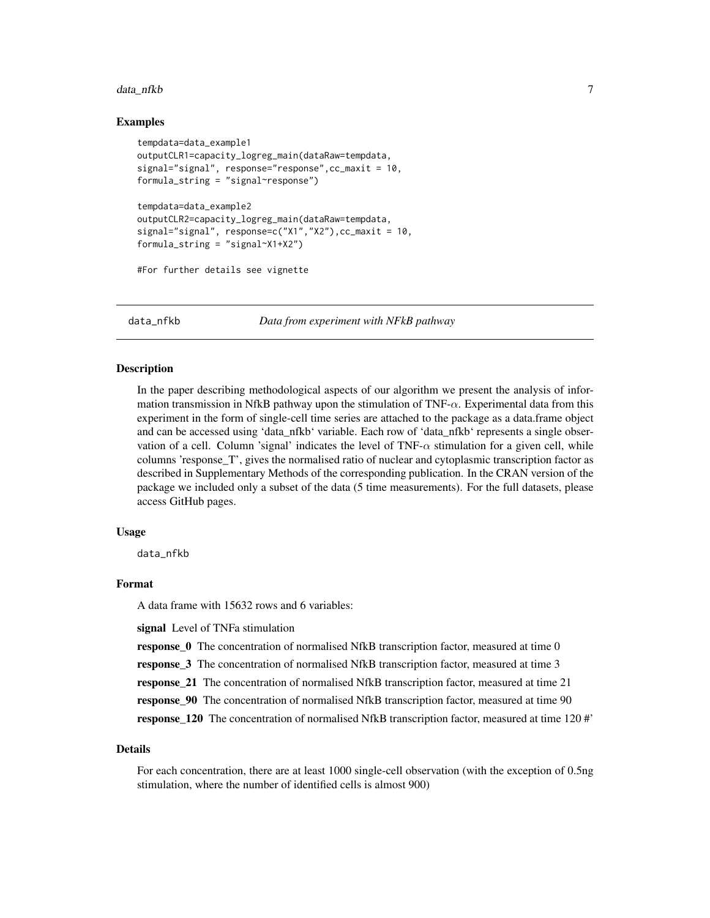#### <span id="page-6-0"></span>data\_nfkb 7

#### Examples

```
tempdata=data_example1
outputCLR1=capacity_logreg_main(dataRaw=tempdata,
signal="signal", response="response",cc_maxit = 10,
formula_string = "signal~response")
tempdata=data_example2
outputCLR2=capacity_logreg_main(dataRaw=tempdata,
signal="signal", response=c("X1","X2"),cc_maxit = 10,
formula_string = "signal~X1+X2")
```
#For further details see vignette

data\_nfkb *Data from experiment with NFkB pathway*

#### Description

In the paper describing methodological aspects of our algorithm we present the analysis of information transmission in NfkB pathway upon the stimulation of  $TNF-\alpha$ . Experimental data from this experiment in the form of single-cell time series are attached to the package as a data.frame object and can be accessed using 'data\_nfkb' variable. Each row of 'data\_nfkb' represents a single observation of a cell. Column 'signal' indicates the level of  $TNF-\alpha$  stimulation for a given cell, while columns 'response\_T', gives the normalised ratio of nuclear and cytoplasmic transcription factor as described in Supplementary Methods of the corresponding publication. In the CRAN version of the package we included only a subset of the data (5 time measurements). For the full datasets, please access GitHub pages.

#### Usage

data\_nfkb

#### Format

A data frame with 15632 rows and 6 variables:

signal Level of TNFa stimulation

response\_0 The concentration of normalised NfkB transcription factor, measured at time 0

response\_3 The concentration of normalised NfkB transcription factor, measured at time 3

response\_21 The concentration of normalised NfkB transcription factor, measured at time 21

response\_90 The concentration of normalised NfkB transcription factor, measured at time 90

response\_120 The concentration of normalised NfkB transcription factor, measured at time 120 #'

#### Details

For each concentration, there are at least 1000 single-cell observation (with the exception of 0.5ng stimulation, where the number of identified cells is almost 900)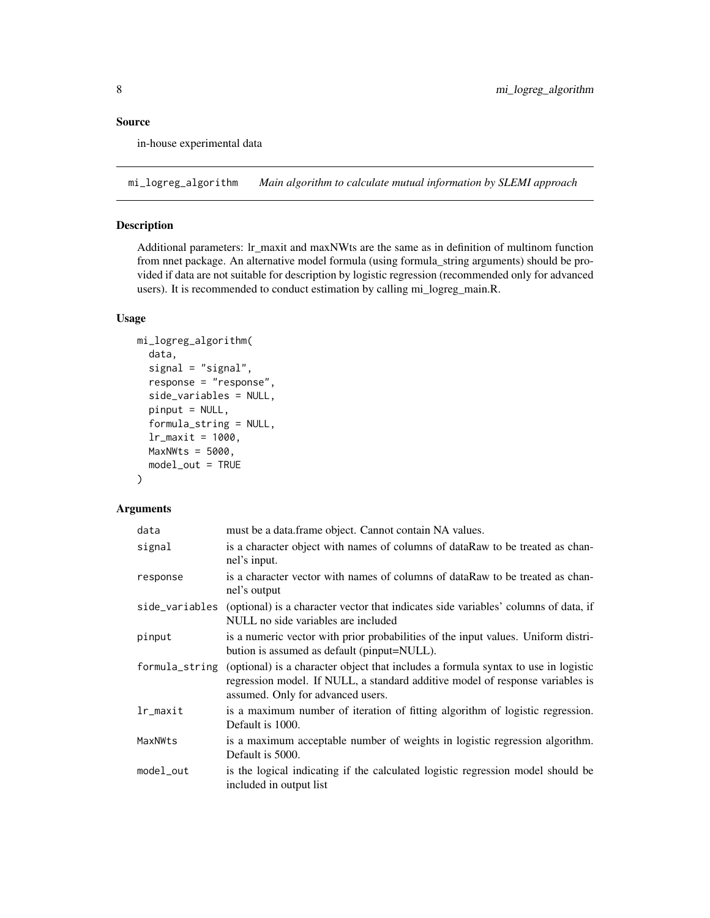#### <span id="page-7-0"></span>Source

in-house experimental data

mi\_logreg\_algorithm *Main algorithm to calculate mutual information by SLEMI approach*

#### Description

Additional parameters: lr\_maxit and maxNWts are the same as in definition of multinom function from nnet package. An alternative model formula (using formula\_string arguments) should be provided if data are not suitable for description by logistic regression (recommended only for advanced users). It is recommended to conduct estimation by calling mi\_logreg\_main.R.

#### Usage

```
mi_logreg_algorithm(
  data,
  signal = "signal",
  response = "response",
  side_variables = NULL,
  pinput = NULL,
  formula_string = NULL,
  lr_maxit = 1000,
 MaxNWts = 5000,model_out = TRUE
)
```

| data           | must be a data.frame object. Cannot contain NA values.                                                                                                                                                   |
|----------------|----------------------------------------------------------------------------------------------------------------------------------------------------------------------------------------------------------|
| signal         | is a character object with names of columns of dataRaw to be treated as chan-<br>nel's input.                                                                                                            |
| response       | is a character vector with names of columns of dataRaw to be treated as chan-<br>nel's output                                                                                                            |
| side_variables | (optional) is a character vector that indicates side variables' columns of data, if<br>NULL no side variables are included                                                                               |
| pinput         | is a numeric vector with prior probabilities of the input values. Uniform distri-<br>bution is assumed as default (pinput=NULL).                                                                         |
| formula_string | (optional) is a character object that includes a formula syntax to use in logistic<br>regression model. If NULL, a standard additive model of response variables is<br>assumed. Only for advanced users. |
| lr_maxit       | is a maximum number of iteration of fitting algorithm of logistic regression.<br>Default is 1000.                                                                                                        |
| MaxNWts        | is a maximum acceptable number of weights in logistic regression algorithm.<br>Default is 5000.                                                                                                          |
| model_out      | is the logical indicating if the calculated logistic regression model should be<br>included in output list                                                                                               |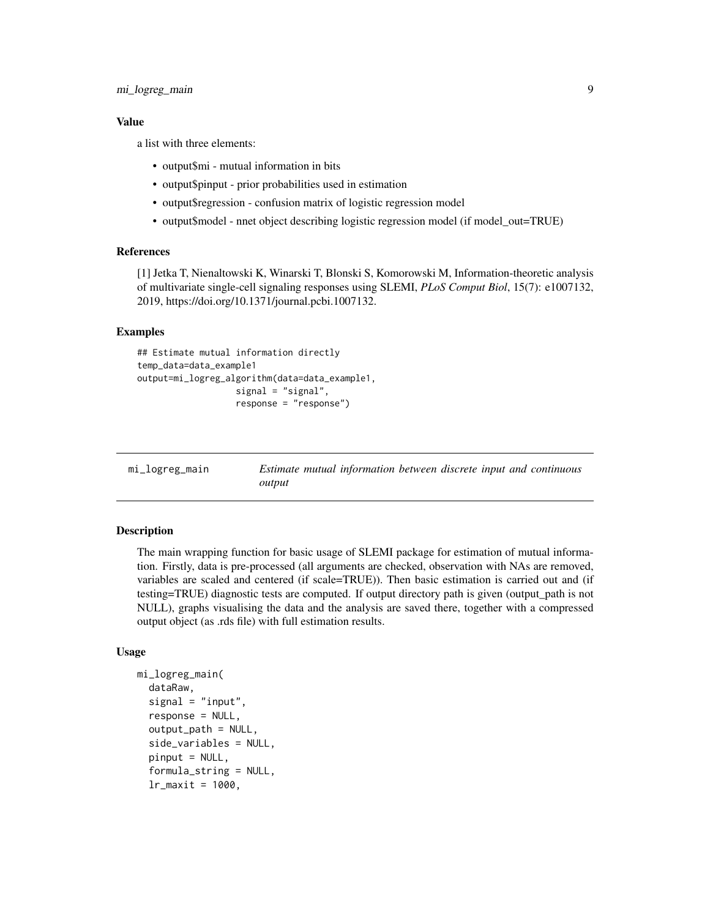#### <span id="page-8-0"></span>mi\_logreg\_main 9

#### Value

a list with three elements:

- output\$mi mutual information in bits
- output\$pinput prior probabilities used in estimation
- output\$regression confusion matrix of logistic regression model
- output\$model nnet object describing logistic regression model (if model\_out=TRUE)

#### References

[1] Jetka T, Nienaltowski K, Winarski T, Blonski S, Komorowski M, Information-theoretic analysis of multivariate single-cell signaling responses using SLEMI, *PLoS Comput Biol*, 15(7): e1007132, 2019, https://doi.org/10.1371/journal.pcbi.1007132.

#### Examples

```
## Estimate mutual information directly
temp_data=data_example1
output=mi_logreg_algorithm(data=data_example1,
                   signal = "signal",
                   response = "response")
```
mi\_logreg\_main *Estimate mutual information between discrete input and continuous output*

#### **Description**

The main wrapping function for basic usage of SLEMI package for estimation of mutual information. Firstly, data is pre-processed (all arguments are checked, observation with NAs are removed, variables are scaled and centered (if scale=TRUE)). Then basic estimation is carried out and (if testing=TRUE) diagnostic tests are computed. If output directory path is given (output\_path is not NULL), graphs visualising the data and the analysis are saved there, together with a compressed output object (as .rds file) with full estimation results.

#### Usage

```
mi_logreg_main(
  dataRaw,
  signal = "input",
  response = NULL,
  output_path = NULL,
  side_variables = NULL,
  pinput = NULL,formula_string = NULL,
  lr\_maxit = 1000,
```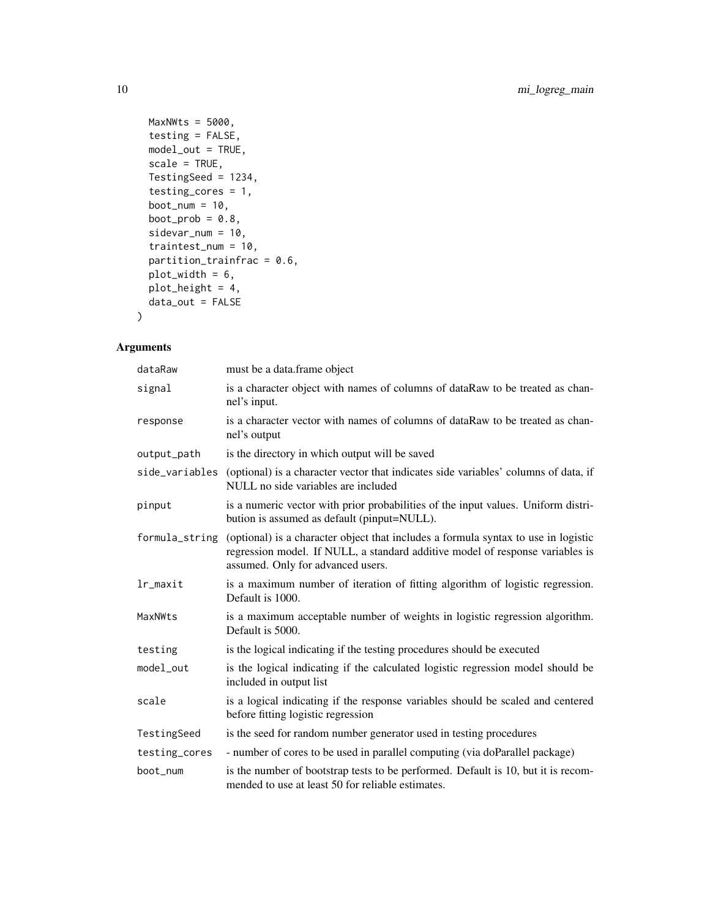```
MaxNWts = 5000,testing = FALSE,
 model_out = TRUE,
 scale = TRUE,
 TestingSeed = 1234,
  testing_cores = 1,
 boot_num = 10,
 boot_prob = 0.8,
  sidevar_num = 10,
 traintest_num = 10,
 partition_trainfrac = 0.6,
 plot_width = 6,
 plot_height = 4,
 data_out = FALSE
\mathcal{L}
```

| dataRaw        | must be a data.frame object                                                                                                                                                                              |
|----------------|----------------------------------------------------------------------------------------------------------------------------------------------------------------------------------------------------------|
| signal         | is a character object with names of columns of dataRaw to be treated as chan-<br>nel's input.                                                                                                            |
| response       | is a character vector with names of columns of dataRaw to be treated as chan-<br>nel's output                                                                                                            |
| output_path    | is the directory in which output will be saved                                                                                                                                                           |
| side_variables | (optional) is a character vector that indicates side variables' columns of data, if<br>NULL no side variables are included                                                                               |
| pinput         | is a numeric vector with prior probabilities of the input values. Uniform distri-<br>bution is assumed as default (pinput=NULL).                                                                         |
| formula_string | (optional) is a character object that includes a formula syntax to use in logistic<br>regression model. If NULL, a standard additive model of response variables is<br>assumed. Only for advanced users. |
| lr_maxit       | is a maximum number of iteration of fitting algorithm of logistic regression.<br>Default is 1000.                                                                                                        |
| MaxNWts        | is a maximum acceptable number of weights in logistic regression algorithm.<br>Default is 5000.                                                                                                          |
| testing        | is the logical indicating if the testing procedures should be executed                                                                                                                                   |
| model_out      | is the logical indicating if the calculated logistic regression model should be<br>included in output list                                                                                               |
| scale          | is a logical indicating if the response variables should be scaled and centered<br>before fitting logistic regression                                                                                    |
| TestingSeed    | is the seed for random number generator used in testing procedures                                                                                                                                       |
| testing_cores  | - number of cores to be used in parallel computing (via doParallel package)                                                                                                                              |
| boot_num       | is the number of bootstrap tests to be performed. Default is 10, but it is recom-<br>mended to use at least 50 for reliable estimates.                                                                   |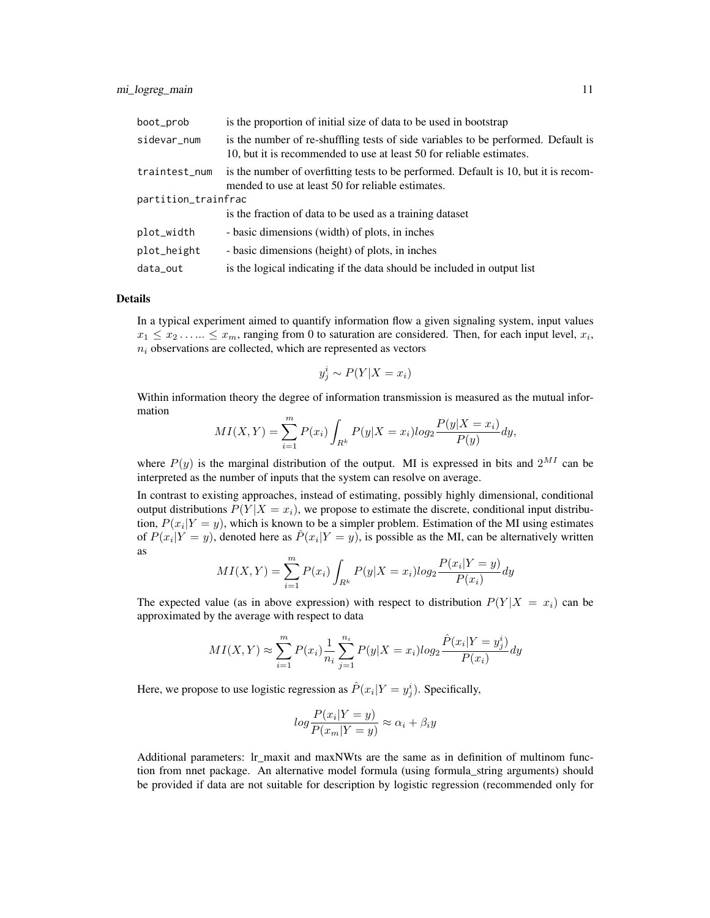| boot_prob           | is the proportion of initial size of data to be used in bootstrap                                                                                         |
|---------------------|-----------------------------------------------------------------------------------------------------------------------------------------------------------|
| sidevar_num         | is the number of re-shuffling tests of side variables to be performed. Default is<br>10, but it is recommended to use at least 50 for reliable estimates. |
| traintest_num       | is the number of overfitting tests to be performed. Default is 10, but it is recom-<br>mended to use at least 50 for reliable estimates.                  |
| partition_trainfrac |                                                                                                                                                           |
|                     | is the fraction of data to be used as a training dataset                                                                                                  |
| plot_width          | - basic dimensions (width) of plots, in inches                                                                                                            |
| plot_height         | - basic dimensions (height) of plots, in inches                                                                                                           |
| data_out            | is the logical indicating if the data should be included in output list                                                                                   |

#### Details

In a typical experiment aimed to quantify information flow a given signaling system, input values  $x_1 \leq x_2 \dots \leq x_m$ , ranging from 0 to saturation are considered. Then, for each input level,  $x_i$ ,  $n_i$  observations are collected, which are represented as vectors

$$
y_j^i \sim P(Y|X = x_i)
$$

Within information theory the degree of information transmission is measured as the mutual information

$$
MI(X,Y) = \sum_{i=1}^{m} P(x_i) \int_{R^k} P(y|X=x_i) \log_2 \frac{P(y|X=x_i)}{P(y)} dy,
$$

where  $P(y)$  is the marginal distribution of the output. MI is expressed in bits and  $2^{MI}$  can be interpreted as the number of inputs that the system can resolve on average.

In contrast to existing approaches, instead of estimating, possibly highly dimensional, conditional output distributions  $P(Y|X=x_i)$ , we propose to estimate the discrete, conditional input distribution,  $P(x_i|Y = y)$ , which is known to be a simpler problem. Estimation of the MI using estimates of  $P(x_i|Y=y)$ , denoted here as  $\hat{P}(x_i|Y=y)$ , is possible as the MI, can be alternatively written as

$$
MI(X,Y) = \sum_{i=1}^{m} P(x_i) \int_{R^k} P(y|X=x_i) \log_2 \frac{P(x_i|Y=y)}{P(x_i)} dy
$$

The expected value (as in above expression) with respect to distribution  $P(Y|X = x_i)$  can be approximated by the average with respect to data

$$
MI(X,Y) \approx \sum_{i=1}^{m} P(x_i) \frac{1}{n_i} \sum_{j=1}^{n_i} P(y|X=x_i) \log_2 \frac{\hat{P}(x_i|Y=y_j^i)}{P(x_i)} dy
$$

Here, we propose to use logistic regression as  $\hat{P}(x_i|Y=y_j^i)$ . Specifically,

$$
log\frac{P(x_i|Y=y)}{P(x_m|Y=y)} \approx \alpha_i + \beta_i y
$$

Additional parameters: lr\_maxit and maxNWts are the same as in definition of multinom function from nnet package. An alternative model formula (using formula\_string arguments) should be provided if data are not suitable for description by logistic regression (recommended only for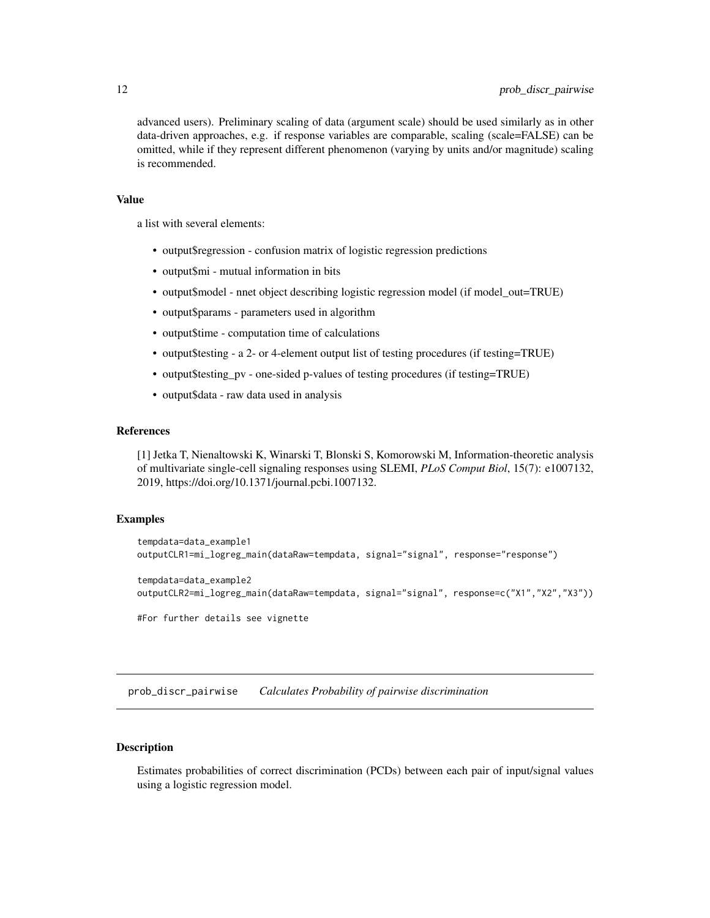<span id="page-11-0"></span>advanced users). Preliminary scaling of data (argument scale) should be used similarly as in other data-driven approaches, e.g. if response variables are comparable, scaling (scale=FALSE) can be omitted, while if they represent different phenomenon (varying by units and/or magnitude) scaling is recommended.

#### Value

a list with several elements:

- output\$regression confusion matrix of logistic regression predictions
- output\$mi mutual information in bits
- output\$model nnet object describing logistic regression model (if model\_out=TRUE)
- output\$params parameters used in algorithm
- output\$time computation time of calculations
- output\$testing a 2- or 4-element output list of testing procedures (if testing=TRUE)
- output\$testing\_pv one-sided p-values of testing procedures (if testing=TRUE)
- output\$data raw data used in analysis

#### References

[1] Jetka T, Nienaltowski K, Winarski T, Blonski S, Komorowski M, Information-theoretic analysis of multivariate single-cell signaling responses using SLEMI, *PLoS Comput Biol*, 15(7): e1007132, 2019, https://doi.org/10.1371/journal.pcbi.1007132.

#### Examples

```
tempdata=data_example1
outputCLR1=mi_logreg_main(dataRaw=tempdata, signal="signal", response="response")
tempdata=data_example2
outputCLR2=mi_logreg_main(dataRaw=tempdata, signal="signal", response=c("X1","X2","X3"))
```
#For further details see vignette

prob\_discr\_pairwise *Calculates Probability of pairwise discrimination*

#### **Description**

Estimates probabilities of correct discrimination (PCDs) between each pair of input/signal values using a logistic regression model.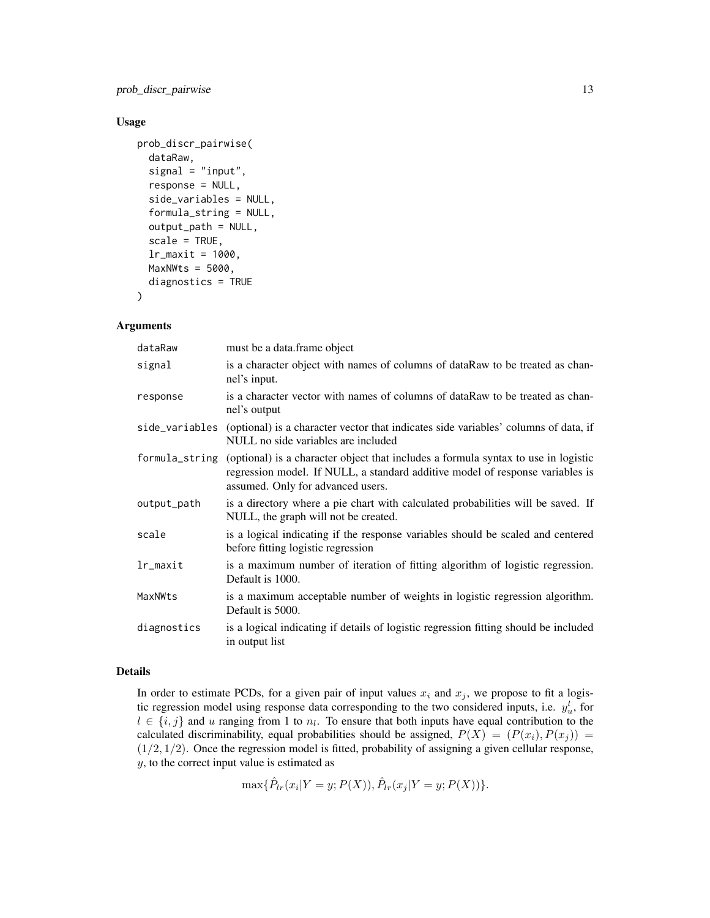prob\_discr\_pairwise 13

#### Usage

```
prob_discr_pairwise(
  dataRaw,
  signal = "input",
  response = NULL,
  side_variables = NULL,
  formula_string = NULL,
  output_path = NULL,
  scale = TRUE,lr_{maxit} = 1000,MaxNWts = 5000,
  diagnostics = TRUE
)
```
#### Arguments

| dataRaw        | must be a data.frame object                                                                                                                                                                              |
|----------------|----------------------------------------------------------------------------------------------------------------------------------------------------------------------------------------------------------|
| signal         | is a character object with names of columns of dataRaw to be treated as chan-<br>nel's input.                                                                                                            |
| response       | is a character vector with names of columns of dataRaw to be treated as chan-<br>nel's output                                                                                                            |
| side_variables | (optional) is a character vector that indicates side variables' columns of data, if<br>NULL no side variables are included                                                                               |
| formula_string | (optional) is a character object that includes a formula syntax to use in logistic<br>regression model. If NULL, a standard additive model of response variables is<br>assumed. Only for advanced users. |
| output_path    | is a directory where a pie chart with calculated probabilities will be saved. If<br>NULL, the graph will not be created.                                                                                 |
| scale          | is a logical indicating if the response variables should be scaled and centered<br>before fitting logistic regression                                                                                    |
| lr_maxit       | is a maximum number of iteration of fitting algorithm of logistic regression.<br>Default is 1000.                                                                                                        |
| MaxNWts        | is a maximum acceptable number of weights in logistic regression algorithm.<br>Default is 5000.                                                                                                          |
| diagnostics    | is a logical indicating if details of logistic regression fitting should be included<br>in output list                                                                                                   |

#### Details

In order to estimate PCDs, for a given pair of input values  $x_i$  and  $x_j$ , we propose to fit a logistic regression model using response data corresponding to the two considered inputs, i.e.  $y_u^l$ , for  $l \in \{i, j\}$  and u ranging from 1 to  $n_l$ . To ensure that both inputs have equal contribution to the calculated discriminability, equal probabilities should be assigned,  $P(X) = (P(x_i), P(x_j)) =$  $(1/2, 1/2)$ . Once the regression model is fitted, probability of assigning a given cellular response, y, to the correct input value is estimated as

$$
\max{\{\hat{P}_{lr}(x_i|Y=y;P(X)),\hat{P}_{lr}(x_j|Y=y;P(X))\}}.
$$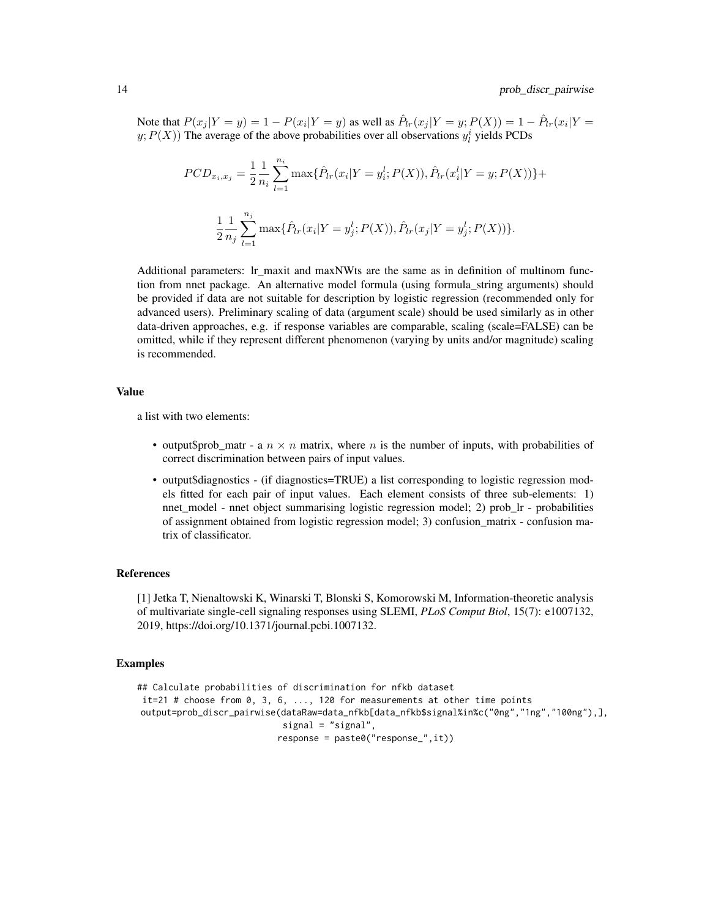Note that  $P(x_j | Y = y) = 1 - P(x_i | Y = y)$  as well as  $\hat{P}_{lr}(x_j | Y = y; P(X)) = 1 - \hat{P}_{lr}(x_i | Y = y)$  $y; P(X)$ ) The average of the above probabilities over all observations  $y_i^i$  yields PCDs

$$
PCD_{x_i, x_j} = \frac{1}{2} \frac{1}{n_i} \sum_{l=1}^{n_i} \max\{\hat{P}_{lr}(x_i|Y=y_i^l; P(X)), \hat{P}_{lr}(x_i^l|Y=y; P(X))\} + \frac{1}{2} \frac{1}{n_j} \sum_{l=1}^{n_j} \max\{\hat{P}_{lr}(x_i|Y=y_j^l; P(X)), \hat{P}_{lr}(x_j|Y=y_j^l; P(X))\}.
$$

Additional parameters: lr\_maxit and maxNWts are the same as in definition of multinom function from nnet package. An alternative model formula (using formula\_string arguments) should be provided if data are not suitable for description by logistic regression (recommended only for advanced users). Preliminary scaling of data (argument scale) should be used similarly as in other data-driven approaches, e.g. if response variables are comparable, scaling (scale=FALSE) can be omitted, while if they represent different phenomenon (varying by units and/or magnitude) scaling is recommended.

#### Value

a list with two elements:

- output\$prob\_matr a  $n \times n$  matrix, where n is the number of inputs, with probabilities of correct discrimination between pairs of input values.
- output\$diagnostics (if diagnostics=TRUE) a list corresponding to logistic regression models fitted for each pair of input values. Each element consists of three sub-elements: 1) nnet model - nnet object summarising logistic regression model; 2) prob lr - probabilities of assignment obtained from logistic regression model; 3) confusion\_matrix - confusion matrix of classificator.

#### References

[1] Jetka T, Nienaltowski K, Winarski T, Blonski S, Komorowski M, Information-theoretic analysis of multivariate single-cell signaling responses using SLEMI, *PLoS Comput Biol*, 15(7): e1007132, 2019, https://doi.org/10.1371/journal.pcbi.1007132.

#### Examples

```
## Calculate probabilities of discrimination for nfkb dataset
it=21 # choose from 0, 3, 6, ..., 120 for measurements at other time points
output=prob_discr_pairwise(dataRaw=data_nfkb[data_nfkb$signal%in%c("0ng","1ng","100ng"),],
                            signal = "signal",
                           response = paste0("response_",it))
```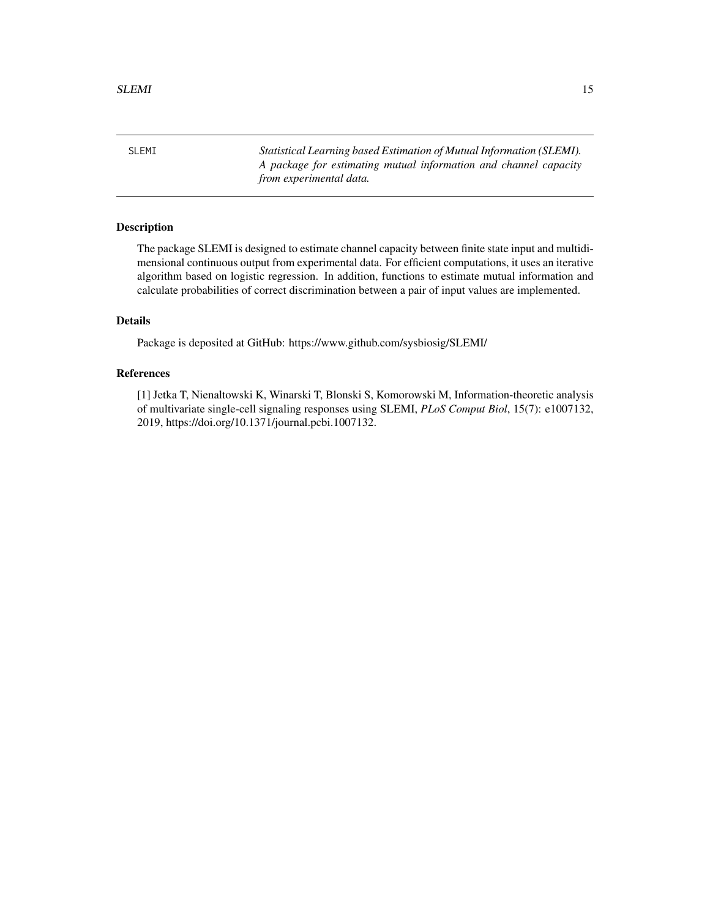<span id="page-14-0"></span>SLEMI *Statistical Learning based Estimation of Mutual Information (SLEMI). A package for estimating mutual information and channel capacity from experimental data.*

#### Description

The package SLEMI is designed to estimate channel capacity between finite state input and multidimensional continuous output from experimental data. For efficient computations, it uses an iterative algorithm based on logistic regression. In addition, functions to estimate mutual information and calculate probabilities of correct discrimination between a pair of input values are implemented.

#### Details

Package is deposited at GitHub: https://www.github.com/sysbiosig/SLEMI/

#### References

[1] Jetka T, Nienaltowski K, Winarski T, Blonski S, Komorowski M, Information-theoretic analysis of multivariate single-cell signaling responses using SLEMI, *PLoS Comput Biol*, 15(7): e1007132, 2019, https://doi.org/10.1371/journal.pcbi.1007132.